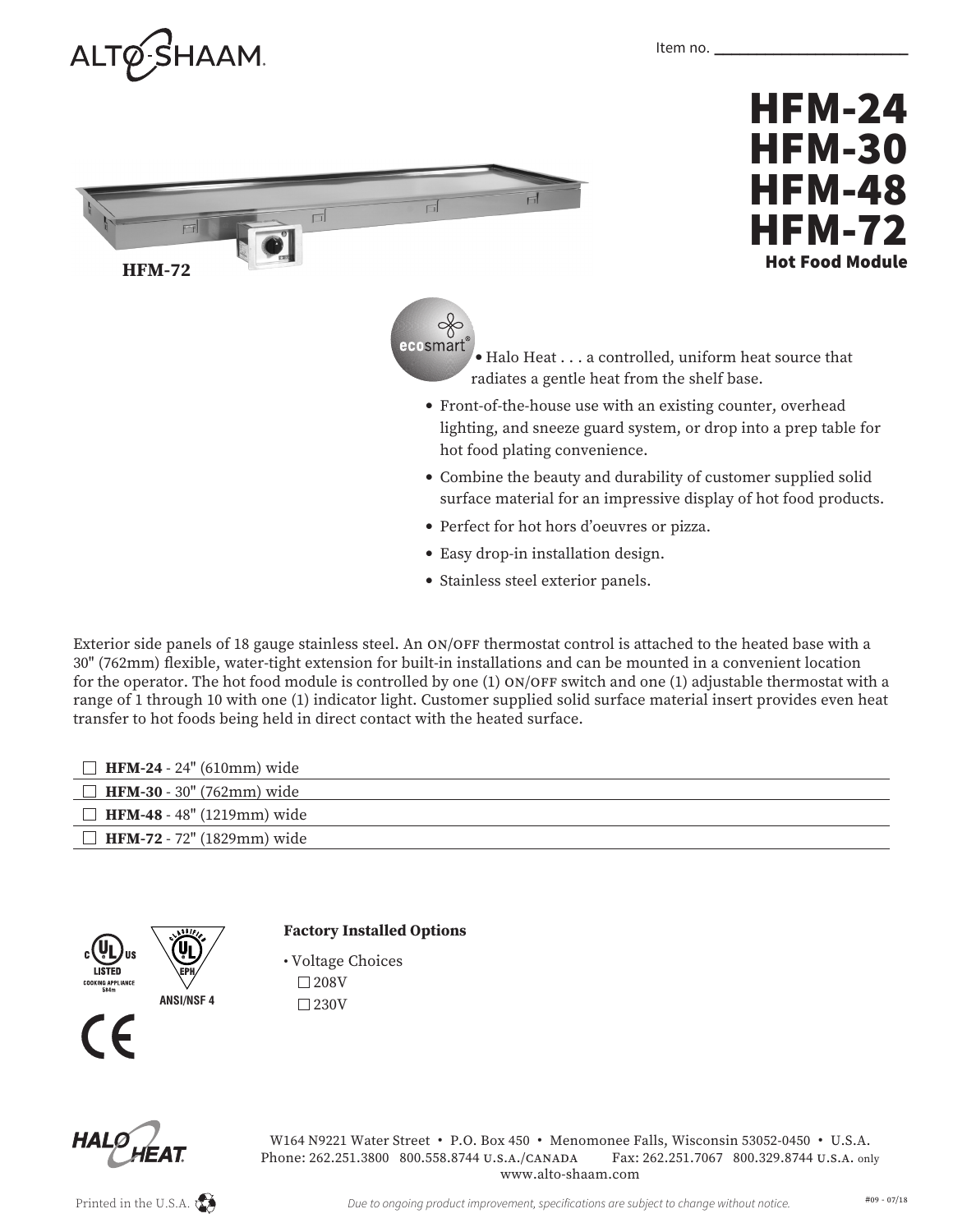



- Easy drop-in installation design.
- Stainless steel exterior panels.

Exterior side panels of 18 gauge stainless steel. An ON/OFF thermostat control is attached to the heated base with a 30" (762mm) flexible, water-tight extension for built-in installations and can be mounted in a convenient location for the operator. The hot food module is controlled by one (1) ON/OFF switch and one (1) adjustable thermostat with a range of 1 through 10 with one (1) indicator light. Customer supplied solid surface material insert provides even heat transfer to hot foods being held in direct contact with the heated surface.

| <b>HFM-24</b> - 24" (610mm) wide  |
|-----------------------------------|
| <b>HFM-30</b> - 30" (762mm) wide  |
| $\Box$ HFM-48 - 48" (1219mm) wide |
| <b>HFM-72</b> - 72" (1829mm) wide |
|                                   |



## **Factory Installed Options**

• Voltage Choices  $\square$  208V  $\square$ 230V



W164 N9221 Water Street • P.O. Box 450 • Menomonee Falls, Wisconsin 53052-0450 • U.S.A. Phone: 262.251.3800 800.558.8744 U.S.A./CAnADA Fax: 262.251.7067 800.329.8744 U.S.A. only www.alto-shaam.com